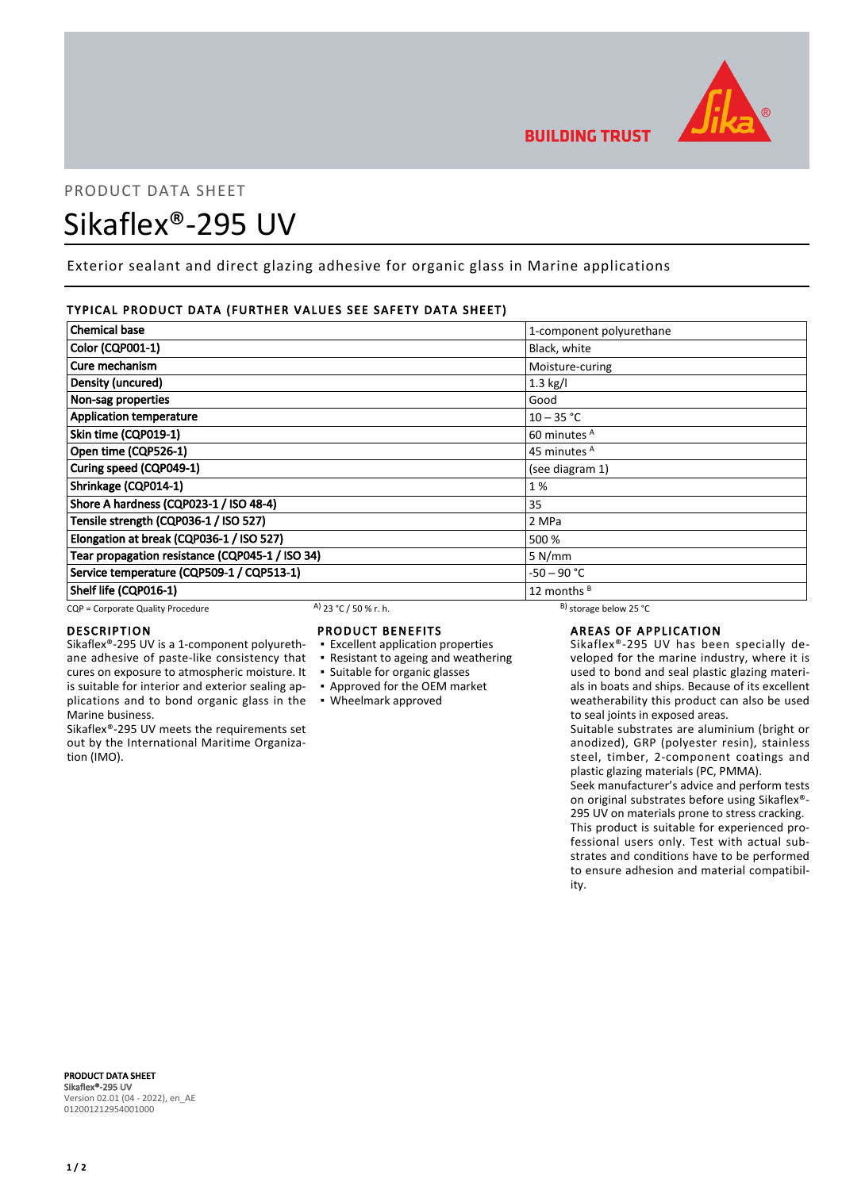

# PRODUCT DATA SHEET Sikaflex®-295 UV

Exterior sealant and direct glazing adhesive for organic glass in Marine applications

# TYPICAL PRODUCT DATA (FURTHER VALUES SEE SAFETY DATA SHEET)

| <b>Chemical base</b>                            |                       | 1-component polyurethane     |  |
|-------------------------------------------------|-----------------------|------------------------------|--|
| <b>Color (CQP001-1)</b>                         |                       | Black, white                 |  |
| Cure mechanism                                  |                       | Moisture-curing              |  |
| Density (uncured)                               |                       | $1.3$ kg/l                   |  |
| Non-sag properties                              |                       | Good                         |  |
| <b>Application temperature</b>                  |                       | $10 - 35 °C$                 |  |
| Skin time (CQP019-1)                            |                       | 60 minutes <sup>A</sup>      |  |
| Open time (CQP526-1)                            |                       | 45 minutes <sup>A</sup>      |  |
| Curing speed (CQP049-1)                         |                       | (see diagram 1)              |  |
| Shrinkage (CQP014-1)                            |                       | 1%                           |  |
| Shore A hardness (CQP023-1 / ISO 48-4)          |                       | 35                           |  |
| Tensile strength (CQP036-1 / ISO 527)           |                       | 2 MPa                        |  |
| Elongation at break (CQP036-1 / ISO 527)        |                       | 500 %                        |  |
| Tear propagation resistance (CQP045-1 / ISO 34) |                       | 5 N/mm                       |  |
| Service temperature (CQP509-1 / CQP513-1)       |                       | -50 – 90 °C                  |  |
| Shelf life (CQP016-1)                           |                       | 12 months <sup>B</sup>       |  |
| CQP = Corporate Quality Procedure               | A) 23 °C / 50 % r. h. | $^{B}$ ) storage below 25 °C |  |

cures on exposure to atmospheric moisture. It is suitable for interior and exterior sealing ap-

Sikaflex®-295 UV meets the requirements set out by the International Maritime Organiza-

# DESCRIPTION

Marine business.

tion (IMO).

# PRODUCT BENEFITS

- Sikaflex®-295 UV is a 1-component polyurethane adhesive of paste-like consistency that ▪ Excellent application properties ▪ Resistant to ageing and weathering
	-
	- Suitable for organic glasses
	- Approved for the OEM market
- plications and to bond organic glass in the Wheelmark approved

# AREAS OF APPLICATION

Sikaflex®-295 UV has been specially developed for the marine industry, where it is used to bond and seal plastic glazing materials in boats and ships. Because of its excellent weatherability this product can also be used to seal joints in exposed areas.

Suitable substrates are aluminium (bright or anodized), GRP (polyester resin), stainless steel, timber, 2-component coatings and plastic glazing materials (PC, PMMA).

Seek manufacturer's advice and perform tests on original substrates before using Sikaflex®- 295 UV on materials prone to stress cracking. This product is suitable for experienced professional users only. Test with actual substrates and conditions have to be performed to ensure adhesion and material compatibility.

PRODUCT DATA SHEET Sikaflex®-295 UV Version 02.01 (04 - 2022), en\_AE 012001212954001000